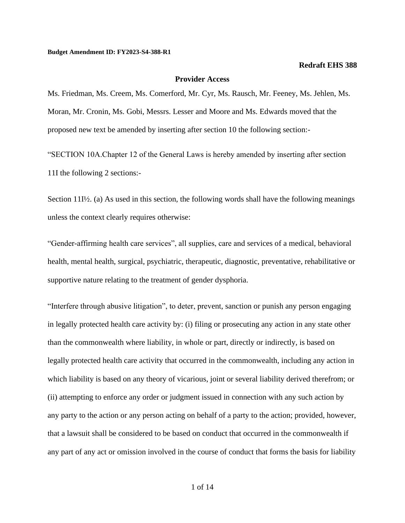## **Provider Access**

Ms. Friedman, Ms. Creem, Ms. Comerford, Mr. Cyr, Ms. Rausch, Mr. Feeney, Ms. Jehlen, Ms. Moran, Mr. Cronin, Ms. Gobi, Messrs. Lesser and Moore and Ms. Edwards moved that the proposed new text be amended by inserting after section 10 the following section:-

"SECTION 10A.Chapter 12 of the General Laws is hereby amended by inserting after section 11I the following 2 sections:-

Section 11I<sup> $\frac{1}{2}$ </sup>. (a) As used in this section, the following words shall have the following meanings unless the context clearly requires otherwise:

"Gender-affirming health care services", all supplies, care and services of a medical, behavioral health, mental health, surgical, psychiatric, therapeutic, diagnostic, preventative, rehabilitative or supportive nature relating to the treatment of gender dysphoria.

"Interfere through abusive litigation", to deter, prevent, sanction or punish any person engaging in legally protected health care activity by: (i) filing or prosecuting any action in any state other than the commonwealth where liability, in whole or part, directly or indirectly, is based on legally protected health care activity that occurred in the commonwealth, including any action in which liability is based on any theory of vicarious, joint or several liability derived therefrom; or (ii) attempting to enforce any order or judgment issued in connection with any such action by any party to the action or any person acting on behalf of a party to the action; provided, however, that a lawsuit shall be considered to be based on conduct that occurred in the commonwealth if any part of any act or omission involved in the course of conduct that forms the basis for liability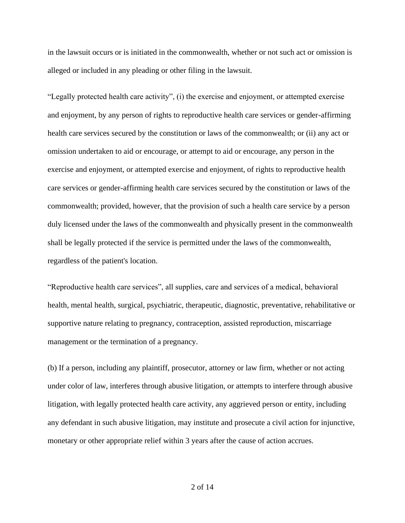in the lawsuit occurs or is initiated in the commonwealth, whether or not such act or omission is alleged or included in any pleading or other filing in the lawsuit.

"Legally protected health care activity", (i) the exercise and enjoyment, or attempted exercise and enjoyment, by any person of rights to reproductive health care services or gender-affirming health care services secured by the constitution or laws of the commonwealth; or (ii) any act or omission undertaken to aid or encourage, or attempt to aid or encourage, any person in the exercise and enjoyment, or attempted exercise and enjoyment, of rights to reproductive health care services or gender-affirming health care services secured by the constitution or laws of the commonwealth; provided, however, that the provision of such a health care service by a person duly licensed under the laws of the commonwealth and physically present in the commonwealth shall be legally protected if the service is permitted under the laws of the commonwealth, regardless of the patient's location.

"Reproductive health care services", all supplies, care and services of a medical, behavioral health, mental health, surgical, psychiatric, therapeutic, diagnostic, preventative, rehabilitative or supportive nature relating to pregnancy, contraception, assisted reproduction, miscarriage management or the termination of a pregnancy.

(b) If a person, including any plaintiff, prosecutor, attorney or law firm, whether or not acting under color of law, interferes through abusive litigation, or attempts to interfere through abusive litigation, with legally protected health care activity, any aggrieved person or entity, including any defendant in such abusive litigation, may institute and prosecute a civil action for injunctive, monetary or other appropriate relief within 3 years after the cause of action accrues.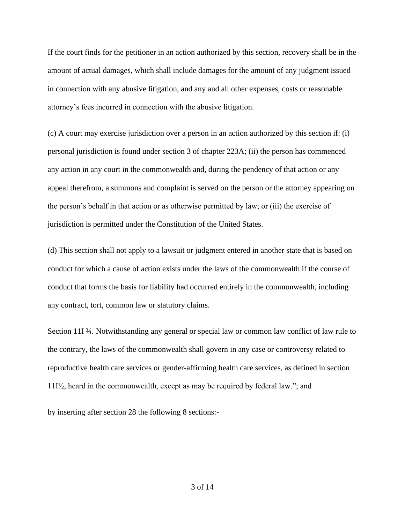If the court finds for the petitioner in an action authorized by this section, recovery shall be in the amount of actual damages, which shall include damages for the amount of any judgment issued in connection with any abusive litigation, and any and all other expenses, costs or reasonable attorney's fees incurred in connection with the abusive litigation.

(c) A court may exercise jurisdiction over a person in an action authorized by this section if: (i) personal jurisdiction is found under section 3 of chapter 223A; (ii) the person has commenced any action in any court in the commonwealth and, during the pendency of that action or any appeal therefrom, a summons and complaint is served on the person or the attorney appearing on the person's behalf in that action or as otherwise permitted by law; or (iii) the exercise of jurisdiction is permitted under the Constitution of the United States.

(d) This section shall not apply to a lawsuit or judgment entered in another state that is based on conduct for which a cause of action exists under the laws of the commonwealth if the course of conduct that forms the basis for liability had occurred entirely in the commonwealth, including any contract, tort, common law or statutory claims.

Section 11I 3⁄4. Notwithstanding any general or special law or common law conflict of law rule to the contrary, the laws of the commonwealth shall govern in any case or controversy related to reproductive health care services or gender-affirming health care services, as defined in section 11I½, heard in the commonwealth, except as may be required by federal law."; and

by inserting after section 28 the following 8 sections:-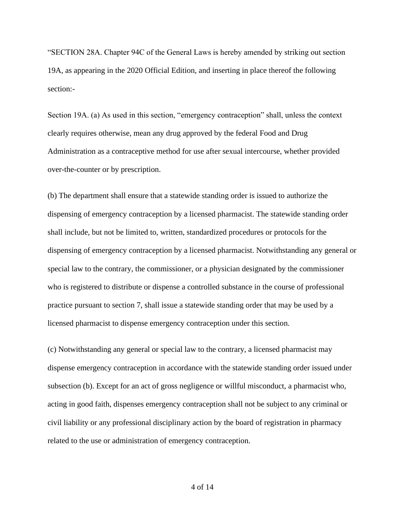"SECTION 28A. Chapter 94C of the General Laws is hereby amended by striking out section 19A, as appearing in the 2020 Official Edition, and inserting in place thereof the following section:-

Section 19A. (a) As used in this section, "emergency contraception" shall, unless the context clearly requires otherwise, mean any drug approved by the federal Food and Drug Administration as a contraceptive method for use after sexual intercourse, whether provided over-the-counter or by prescription.

(b) The department shall ensure that a statewide standing order is issued to authorize the dispensing of emergency contraception by a licensed pharmacist. The statewide standing order shall include, but not be limited to, written, standardized procedures or protocols for the dispensing of emergency contraception by a licensed pharmacist. Notwithstanding any general or special law to the contrary, the commissioner, or a physician designated by the commissioner who is registered to distribute or dispense a controlled substance in the course of professional practice pursuant to section 7, shall issue a statewide standing order that may be used by a licensed pharmacist to dispense emergency contraception under this section.

(c) Notwithstanding any general or special law to the contrary, a licensed pharmacist may dispense emergency contraception in accordance with the statewide standing order issued under subsection (b). Except for an act of gross negligence or willful misconduct, a pharmacist who, acting in good faith, dispenses emergency contraception shall not be subject to any criminal or civil liability or any professional disciplinary action by the board of registration in pharmacy related to the use or administration of emergency contraception.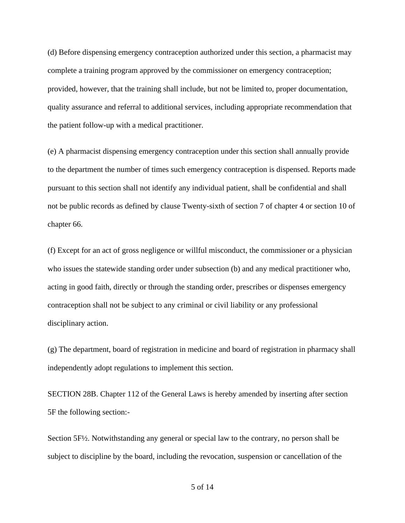(d) Before dispensing emergency contraception authorized under this section, a pharmacist may complete a training program approved by the commissioner on emergency contraception; provided, however, that the training shall include, but not be limited to, proper documentation, quality assurance and referral to additional services, including appropriate recommendation that the patient follow-up with a medical practitioner.

(e) A pharmacist dispensing emergency contraception under this section shall annually provide to the department the number of times such emergency contraception is dispensed. Reports made pursuant to this section shall not identify any individual patient, shall be confidential and shall not be public records as defined by clause Twenty-sixth of section 7 of chapter 4 or section 10 of chapter 66.

(f) Except for an act of gross negligence or willful misconduct, the commissioner or a physician who issues the statewide standing order under subsection (b) and any medical practitioner who, acting in good faith, directly or through the standing order, prescribes or dispenses emergency contraception shall not be subject to any criminal or civil liability or any professional disciplinary action.

(g) The department, board of registration in medicine and board of registration in pharmacy shall independently adopt regulations to implement this section.

SECTION 28B. Chapter 112 of the General Laws is hereby amended by inserting after section 5F the following section:-

Section 5F½. Notwithstanding any general or special law to the contrary, no person shall be subject to discipline by the board, including the revocation, suspension or cancellation of the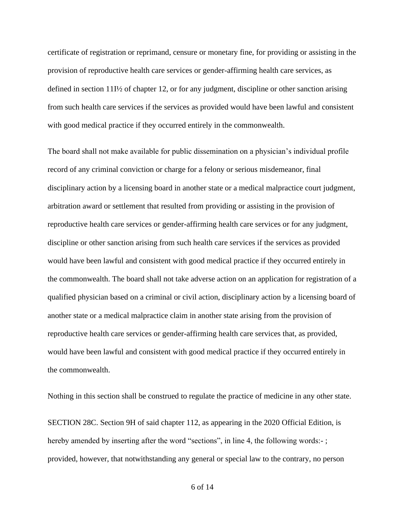certificate of registration or reprimand, censure or monetary fine, for providing or assisting in the provision of reproductive health care services or gender-affirming health care services, as defined in section 11I½ of chapter 12, or for any judgment, discipline or other sanction arising from such health care services if the services as provided would have been lawful and consistent with good medical practice if they occurred entirely in the commonwealth.

The board shall not make available for public dissemination on a physician's individual profile record of any criminal conviction or charge for a felony or serious misdemeanor, final disciplinary action by a licensing board in another state or a medical malpractice court judgment, arbitration award or settlement that resulted from providing or assisting in the provision of reproductive health care services or gender-affirming health care services or for any judgment, discipline or other sanction arising from such health care services if the services as provided would have been lawful and consistent with good medical practice if they occurred entirely in the commonwealth. The board shall not take adverse action on an application for registration of a qualified physician based on a criminal or civil action, disciplinary action by a licensing board of another state or a medical malpractice claim in another state arising from the provision of reproductive health care services or gender-affirming health care services that, as provided, would have been lawful and consistent with good medical practice if they occurred entirely in the commonwealth.

Nothing in this section shall be construed to regulate the practice of medicine in any other state. SECTION 28C. Section 9H of said chapter 112, as appearing in the 2020 Official Edition, is hereby amended by inserting after the word "sections", in line 4, the following words:-; provided, however, that notwithstanding any general or special law to the contrary, no person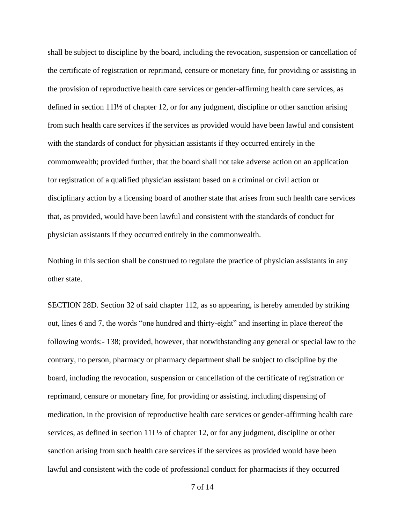shall be subject to discipline by the board, including the revocation, suspension or cancellation of the certificate of registration or reprimand, censure or monetary fine, for providing or assisting in the provision of reproductive health care services or gender-affirming health care services, as defined in section 11I½ of chapter 12, or for any judgment, discipline or other sanction arising from such health care services if the services as provided would have been lawful and consistent with the standards of conduct for physician assistants if they occurred entirely in the commonwealth; provided further, that the board shall not take adverse action on an application for registration of a qualified physician assistant based on a criminal or civil action or disciplinary action by a licensing board of another state that arises from such health care services that, as provided, would have been lawful and consistent with the standards of conduct for physician assistants if they occurred entirely in the commonwealth.

Nothing in this section shall be construed to regulate the practice of physician assistants in any other state.

SECTION 28D. Section 32 of said chapter 112, as so appearing, is hereby amended by striking out, lines 6 and 7, the words "one hundred and thirty-eight" and inserting in place thereof the following words:- 138; provided, however, that notwithstanding any general or special law to the contrary, no person, pharmacy or pharmacy department shall be subject to discipline by the board, including the revocation, suspension or cancellation of the certificate of registration or reprimand, censure or monetary fine, for providing or assisting, including dispensing of medication, in the provision of reproductive health care services or gender-affirming health care services, as defined in section 11I  $\frac{1}{2}$  of chapter 12, or for any judgment, discipline or other sanction arising from such health care services if the services as provided would have been lawful and consistent with the code of professional conduct for pharmacists if they occurred

7 of 14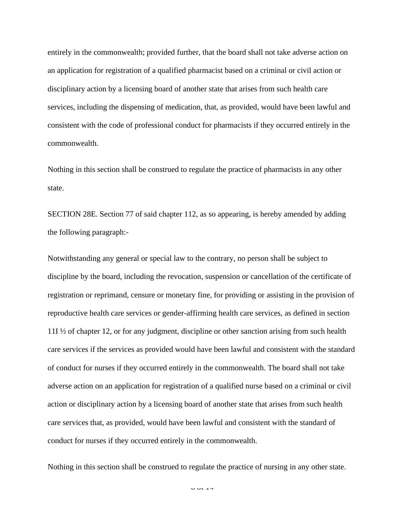entirely in the commonwealth; provided further, that the board shall not take adverse action on an application for registration of a qualified pharmacist based on a criminal or civil action or disciplinary action by a licensing board of another state that arises from such health care services, including the dispensing of medication, that, as provided, would have been lawful and consistent with the code of professional conduct for pharmacists if they occurred entirely in the commonwealth.

Nothing in this section shall be construed to regulate the practice of pharmacists in any other state.

SECTION 28E. Section 77 of said chapter 112, as so appearing, is hereby amended by adding the following paragraph:-

Notwithstanding any general or special law to the contrary, no person shall be subject to discipline by the board, including the revocation, suspension or cancellation of the certificate of registration or reprimand, censure or monetary fine, for providing or assisting in the provision of reproductive health care services or gender-affirming health care services, as defined in section 11I ½ of chapter 12, or for any judgment, discipline or other sanction arising from such health care services if the services as provided would have been lawful and consistent with the standard of conduct for nurses if they occurred entirely in the commonwealth. The board shall not take adverse action on an application for registration of a qualified nurse based on a criminal or civil action or disciplinary action by a licensing board of another state that arises from such health care services that, as provided, would have been lawful and consistent with the standard of conduct for nurses if they occurred entirely in the commonwealth.

Nothing in this section shall be construed to regulate the practice of nursing in any other state.

 $\overline{9}$  of 14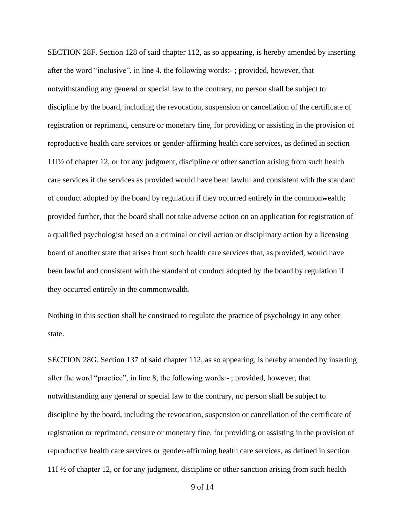SECTION 28F. Section 128 of said chapter 112, as so appearing, is hereby amended by inserting after the word "inclusive", in line 4, the following words:- ; provided, however, that notwithstanding any general or special law to the contrary, no person shall be subject to discipline by the board, including the revocation, suspension or cancellation of the certificate of registration or reprimand, censure or monetary fine, for providing or assisting in the provision of reproductive health care services or gender-affirming health care services, as defined in section 11I½ of chapter 12, or for any judgment, discipline or other sanction arising from such health care services if the services as provided would have been lawful and consistent with the standard of conduct adopted by the board by regulation if they occurred entirely in the commonwealth; provided further, that the board shall not take adverse action on an application for registration of a qualified psychologist based on a criminal or civil action or disciplinary action by a licensing board of another state that arises from such health care services that, as provided, would have been lawful and consistent with the standard of conduct adopted by the board by regulation if they occurred entirely in the commonwealth.

Nothing in this section shall be construed to regulate the practice of psychology in any other state.

SECTION 28G. Section 137 of said chapter 112, as so appearing, is hereby amended by inserting after the word "practice", in line 8, the following words:- ; provided, however, that notwithstanding any general or special law to the contrary, no person shall be subject to discipline by the board, including the revocation, suspension or cancellation of the certificate of registration or reprimand, censure or monetary fine, for providing or assisting in the provision of reproductive health care services or gender-affirming health care services, as defined in section 11I ½ of chapter 12, or for any judgment, discipline or other sanction arising from such health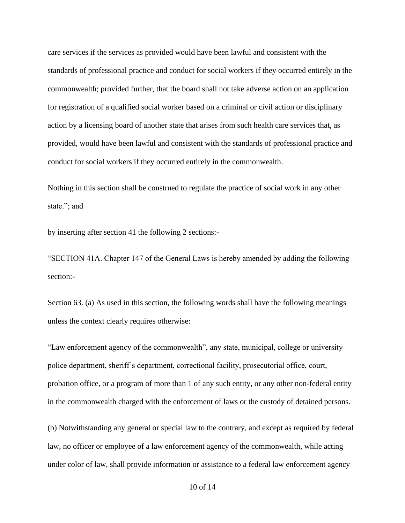care services if the services as provided would have been lawful and consistent with the standards of professional practice and conduct for social workers if they occurred entirely in the commonwealth; provided further, that the board shall not take adverse action on an application for registration of a qualified social worker based on a criminal or civil action or disciplinary action by a licensing board of another state that arises from such health care services that, as provided, would have been lawful and consistent with the standards of professional practice and conduct for social workers if they occurred entirely in the commonwealth.

Nothing in this section shall be construed to regulate the practice of social work in any other state."; and

by inserting after section 41 the following 2 sections:-

"SECTION 41A. Chapter 147 of the General Laws is hereby amended by adding the following section:-

Section 63. (a) As used in this section, the following words shall have the following meanings unless the context clearly requires otherwise:

"Law enforcement agency of the commonwealth", any state, municipal, college or university police department, sheriff's department, correctional facility, prosecutorial office, court, probation office, or a program of more than 1 of any such entity, or any other non-federal entity in the commonwealth charged with the enforcement of laws or the custody of detained persons.

(b) Notwithstanding any general or special law to the contrary, and except as required by federal law, no officer or employee of a law enforcement agency of the commonwealth, while acting under color of law, shall provide information or assistance to a federal law enforcement agency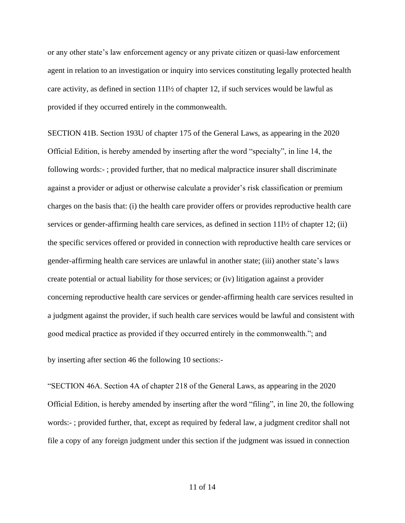or any other state's law enforcement agency or any private citizen or quasi-law enforcement agent in relation to an investigation or inquiry into services constituting legally protected health care activity, as defined in section  $11\frac{1}{2}$  of chapter 12, if such services would be lawful as provided if they occurred entirely in the commonwealth.

SECTION 41B. Section 193U of chapter 175 of the General Laws, as appearing in the 2020 Official Edition, is hereby amended by inserting after the word "specialty", in line 14, the following words:- ; provided further, that no medical malpractice insurer shall discriminate against a provider or adjust or otherwise calculate a provider's risk classification or premium charges on the basis that: (i) the health care provider offers or provides reproductive health care services or gender-affirming health care services, as defined in section  $111\frac{1}{2}$  of chapter 12; (ii) the specific services offered or provided in connection with reproductive health care services or gender-affirming health care services are unlawful in another state; (iii) another state's laws create potential or actual liability for those services; or (iv) litigation against a provider concerning reproductive health care services or gender-affirming health care services resulted in a judgment against the provider, if such health care services would be lawful and consistent with good medical practice as provided if they occurred entirely in the commonwealth."; and

by inserting after section 46 the following 10 sections:-

"SECTION 46A. Section 4A of chapter 218 of the General Laws, as appearing in the 2020 Official Edition, is hereby amended by inserting after the word "filing", in line 20, the following words:- ; provided further, that, except as required by federal law, a judgment creditor shall not file a copy of any foreign judgment under this section if the judgment was issued in connection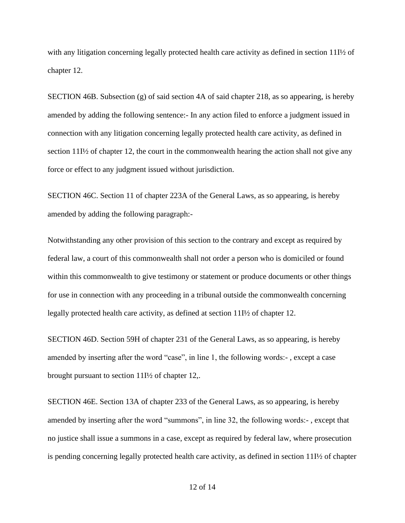with any litigation concerning legally protected health care activity as defined in section 11I½ of chapter 12.

SECTION 46B. Subsection (g) of said section 4A of said chapter 218, as so appearing, is hereby amended by adding the following sentence:- In any action filed to enforce a judgment issued in connection with any litigation concerning legally protected health care activity, as defined in section 11I½ of chapter 12, the court in the commonwealth hearing the action shall not give any force or effect to any judgment issued without jurisdiction.

SECTION 46C. Section 11 of chapter 223A of the General Laws, as so appearing, is hereby amended by adding the following paragraph:-

Notwithstanding any other provision of this section to the contrary and except as required by federal law, a court of this commonwealth shall not order a person who is domiciled or found within this commonwealth to give testimony or statement or produce documents or other things for use in connection with any proceeding in a tribunal outside the commonwealth concerning legally protected health care activity, as defined at section 11I½ of chapter 12.

SECTION 46D. Section 59H of chapter 231 of the General Laws, as so appearing, is hereby amended by inserting after the word "case", in line 1, the following words:- , except a case brought pursuant to section 11I½ of chapter 12,.

SECTION 46E. Section 13A of chapter 233 of the General Laws, as so appearing, is hereby amended by inserting after the word "summons", in line 32, the following words:- , except that no justice shall issue a summons in a case, except as required by federal law, where prosecution is pending concerning legally protected health care activity, as defined in section 11I½ of chapter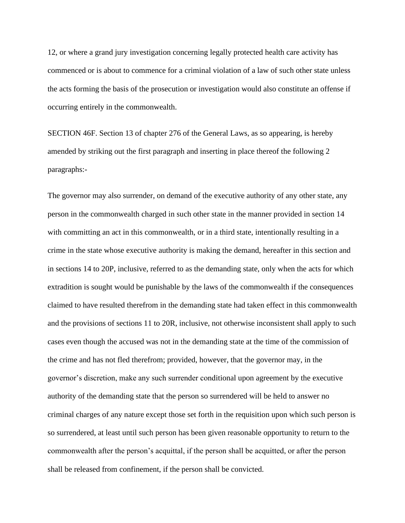12, or where a grand jury investigation concerning legally protected health care activity has commenced or is about to commence for a criminal violation of a law of such other state unless the acts forming the basis of the prosecution or investigation would also constitute an offense if occurring entirely in the commonwealth.

SECTION 46F. Section 13 of chapter 276 of the General Laws, as so appearing, is hereby amended by striking out the first paragraph and inserting in place thereof the following 2 paragraphs:-

The governor may also surrender, on demand of the executive authority of any other state, any person in the commonwealth charged in such other state in the manner provided in section 14 with committing an act in this commonwealth, or in a third state, intentionally resulting in a crime in the state whose executive authority is making the demand, hereafter in this section and in sections 14 to 20P, inclusive, referred to as the demanding state, only when the acts for which extradition is sought would be punishable by the laws of the commonwealth if the consequences claimed to have resulted therefrom in the demanding state had taken effect in this commonwealth and the provisions of sections 11 to 20R, inclusive, not otherwise inconsistent shall apply to such cases even though the accused was not in the demanding state at the time of the commission of the crime and has not fled therefrom; provided, however, that the governor may, in the governor's discretion, make any such surrender conditional upon agreement by the executive authority of the demanding state that the person so surrendered will be held to answer no criminal charges of any nature except those set forth in the requisition upon which such person is so surrendered, at least until such person has been given reasonable opportunity to return to the commonwealth after the person's acquittal, if the person shall be acquitted, or after the person shall be released from confinement, if the person shall be convicted.